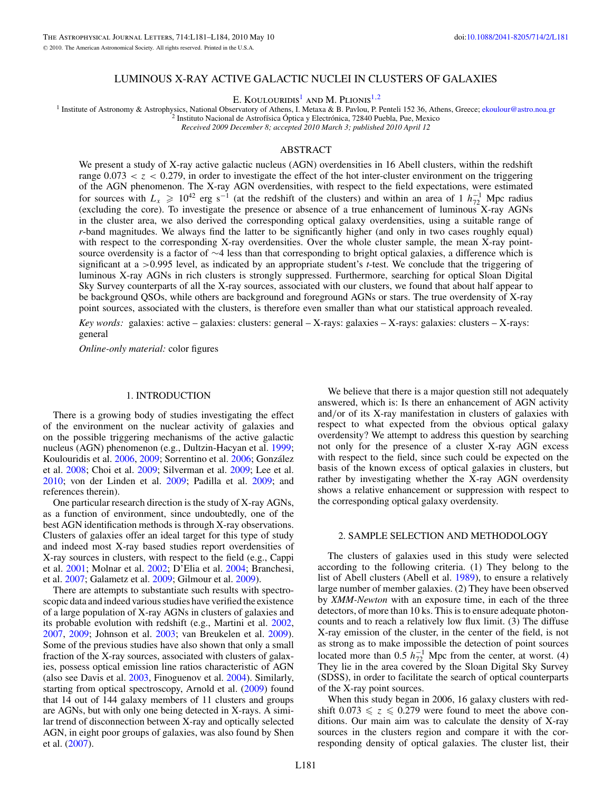#### LUMINOUS X-RAY ACTIVE GALACTIC NUCLEI IN CLUSTERS OF GALAXIES

E. Koulouridis1 and M. Plionis1*,*2

<sup>1</sup> Institute of Astronomy & Astrophysics, National Observatory of Athens, I. Metaxa & B. Pavlou, P. Penteli 152 36, Athens, Greece; [ekoulour@astro.noa.gr](mailto:ekoulour@astro.noa.gr) <sup>2</sup> Institute Nacional de Astrofísica Óptica y Electrónica, 72840

*Received 2009 December 8; accepted 2010 March 3; published 2010 April 12*

### ABSTRACT

We present a study of X-ray active galactic nucleus (AGN) overdensities in 16 Abell clusters, within the redshift range  $0.073 < z < 0.279$ , in order to investigate the effect of the hot inter-cluster environment on the triggering of the AGN phenomenon. The X-ray AGN overdensities, with respect to the field expectations, were estimated for sources with  $L_x \ge 10^{42}$  erg s<sup>-1</sup> (at the redshift of the clusters) and within an area of 1  $h_{72}^{-1}$  Mpc radius (excluding the core). To investigate the presence or absence of a true enhancement of luminous X-ray AGNs in the cluster area, we also derived the corresponding optical galaxy overdensities, using a suitable range of *r*-band magnitudes. We always find the latter to be significantly higher (and only in two cases roughly equal) with respect to the corresponding X-ray overdensities. Over the whole cluster sample, the mean X-ray pointsource overdensity is a factor of ∼4 less than that corresponding to bright optical galaxies, a difference which is significant at a *>*0*.*995 level, as indicated by an appropriate student's *t*-test. We conclude that the triggering of luminous X-ray AGNs in rich clusters is strongly suppressed. Furthermore, searching for optical Sloan Digital Sky Survey counterparts of all the X-ray sources, associated with our clusters, we found that about half appear to be background QSOs, while others are background and foreground AGNs or stars. The true overdensity of X-ray point sources, associated with the clusters, is therefore even smaller than what our statistical approach revealed.

*Key words:* galaxies: active – galaxies: clusters: general – X-rays: galaxies – X-rays: galaxies: clusters – X-rays: general

*Online-only material:* color figures

## 1. INTRODUCTION

There is a growing body of studies investigating the effect of the environment on the nuclear activity of galaxies and on the possible triggering mechanisms of the active galactic nucleus (AGN) phenomenon (e.g., Dultzin-Hacyan et al. [1999;](#page-3-0) Koulouridis et al. [2006,](#page-3-0) [2009;](#page-3-0) Sorrentino et al. [2006;](#page-3-0) Gonzalez ´ et al. [2008;](#page-3-0) Choi et al. [2009;](#page-3-0) Silverman et al. [2009;](#page-3-0) Lee et al. [2010;](#page-3-0) von der Linden et al. [2009;](#page-3-0) Padilla et al. [2009;](#page-3-0) and references therein).

One particular research direction is the study of X-ray AGNs, as a function of environment, since undoubtedly, one of the best AGN identification methods is through X-ray observations. Clusters of galaxies offer an ideal target for this type of study and indeed most X-ray based studies report overdensities of X-ray sources in clusters, with respect to the field (e.g., Cappi et al. [2001;](#page-3-0) Molnar et al. [2002;](#page-3-0) D'Elia et al. [2004;](#page-3-0) Branchesi, et al. [2007;](#page-3-0) Galametz et al. [2009;](#page-3-0) Gilmour et al. [2009\)](#page-3-0).

There are attempts to substantiate such results with spectroscopic data and indeed various studies have verified the existence of a large population of X-ray AGNs in clusters of galaxies and its probable evolution with redshift (e.g., Martini et al. [2002,](#page-3-0) [2007,](#page-3-0) [2009;](#page-3-0) Johnson et al. [2003;](#page-3-0) van Breukelen et al. [2009\)](#page-3-0). Some of the previous studies have also shown that only a small fraction of the X-ray sources, associated with clusters of galaxies, possess optical emission line ratios characteristic of AGN (also see Davis et al. [2003,](#page-3-0) Finoguenov et al. [2004\)](#page-3-0). Similarly, starting from optical spectroscopy, Arnold et al. [\(2009\)](#page-3-0) found that 14 out of 144 galaxy members of 11 clusters and groups are AGNs, but with only one being detected in X-rays. A similar trend of disconnection between X-ray and optically selected AGN, in eight poor groups of galaxies, was also found by Shen et al. [\(2007\)](#page-3-0).

We believe that there is a major question still not adequately answered, which is: Is there an enhancement of AGN activity and*/*or of its X-ray manifestation in clusters of galaxies with respect to what expected from the obvious optical galaxy overdensity? We attempt to address this question by searching not only for the presence of a cluster X-ray AGN excess with respect to the field, since such could be expected on the basis of the known excess of optical galaxies in clusters, but rather by investigating whether the X-ray AGN overdensity shows a relative enhancement or suppression with respect to the corresponding optical galaxy overdensity.

# 2. SAMPLE SELECTION AND METHODOLOGY

The clusters of galaxies used in this study were selected according to the following criteria. (1) They belong to the list of Abell clusters (Abell et al. [1989\)](#page-3-0), to ensure a relatively large number of member galaxies. (2) They have been observed by *XMM-Newton* with an exposure time, in each of the three detectors, of more than 10 ks. This is to ensure adequate photoncounts and to reach a relatively low flux limit. (3) The diffuse X-ray emission of the cluster, in the center of the field, is not as strong as to make impossible the detection of point sources located more than 0.5  $h_{72}^{-1}$  Mpc from the center, at worst. (4) They lie in the area covered by the Sloan Digital Sky Survey (SDSS), in order to facilitate the search of optical counterparts of the X-ray point sources.

When this study began in 2006, 16 galaxy clusters with redshift  $0.073 \le z \le 0.279$  were found to meet the above conditions. Our main aim was to calculate the density of X-ray sources in the clusters region and compare it with the corresponding density of optical galaxies. The cluster list, their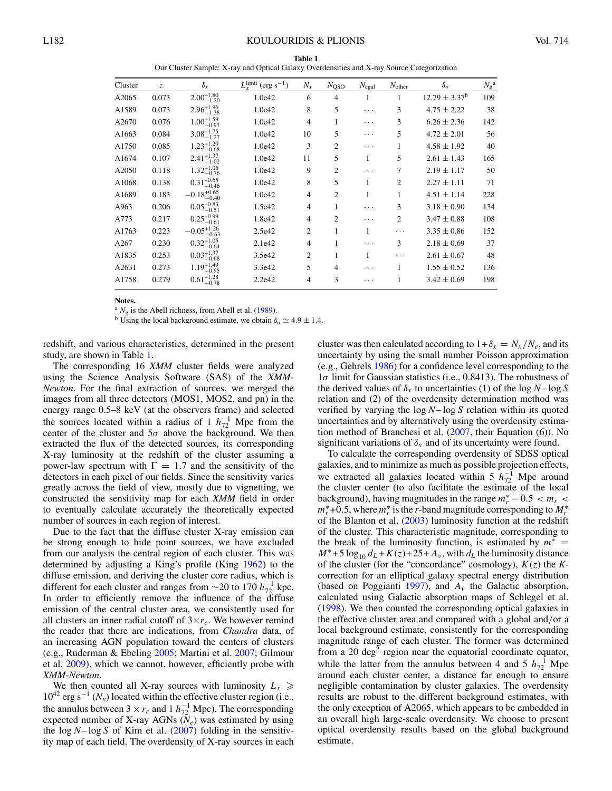| Table 1                                                                                    |  |  |  |  |  |  |  |  |
|--------------------------------------------------------------------------------------------|--|--|--|--|--|--|--|--|
| Our Cluster Sample: X-ray and Optical Galaxy Overdensities and X-ray Source Categorization |  |  |  |  |  |  |  |  |

<span id="page-1-0"></span>

| Cluster | Z.    | $\delta_{x}$                      | $L_{x}$ <sup>limit</sup> (erg s <sup>-1</sup> ) | $N_x$          | $N_{\rm QSO}$  | $N_{\rm c \underline{gal}}$ | $N_{other}$    | $\delta_{\alpha}$  | $N_g^{\ a}$ |
|---------|-------|-----------------------------------|-------------------------------------------------|----------------|----------------|-----------------------------|----------------|--------------------|-------------|
| A2065   | 0.073 | $2.00_{-1.20}^{+1.80}$            | 1.0e42                                          | 6              | 4              | 1                           | 1              | $12.79 \pm 3.37^b$ | 109         |
| A1589   | 0.073 | $2.96^{+1.96}_{-1.38}$            | 1.0e42                                          | 8              | 5              | .                           | 3              | $4.75 \pm 2.22$    | 38          |
| A2670   | 0.076 | $1.00_{-0.97}^{+1.59}$            | 1.0e42                                          | 4              | 1              | .                           | 3              | $6.26 \pm 2.36$    | 142         |
| A1663   | 0.084 | $3.08_{-1.27}^{+1.75}$            | 1.0e42                                          | 10             | 5              | .                           | 5              | $4.72 \pm 2.01$    | 56          |
| A1750   | 0.085 | $1.23_{-0.68}^{+1.20}$            | 1.0e42                                          | 3              | $\overline{c}$ | .                           |                | $4.58 \pm 1.92$    | 40          |
| A1674   | 0.107 | $2.41_{-1.02}^{+1.37}$            | 1.0e42                                          | 11             | 5              | 1                           | 5              | $2.61 \pm 1.43$    | 165         |
| A2050   | 0.118 | $1.32^{+1.06}_{-0.76}$<br>$-0.76$ | 1.0e42                                          | 9              | $\overline{c}$ | .                           | 7              | $2.19 \pm 1.17$    | 50          |
| A1068   | 0.138 | $0.31_{-0.46}^{+0.65}$            | 1.0e42                                          | 8              | 5              | 1                           | $\overline{c}$ | $2.27 \pm 1.11$    | 71          |
| A1689   | 0.183 | $-0.18_{-0.40}^{+0.65}$           | 1.0e42                                          | 4              | $\overline{c}$ | 1                           | 1              | $4.51 \pm 1.14$    | 228         |
| A963    | 0.206 | $0.05^{+0.83}$<br>$-0.51$         | 1.5e42                                          | 4              |                | .                           | 3              | $3.18 \pm 0.90$    | 134         |
| A773    | 0.217 | $0.25_{-0.61}^{+0.99}$            | 1.8e42                                          | $\overline{4}$ | 2              | .                           | $\overline{c}$ | $3.47 \pm 0.88$    | 108         |
| A1763   | 0.223 | $-0.05_{-0.63}^{+1.26}$           | 2.5e42                                          | 2              | 1              | 1                           | .              | $3.35 \pm 0.86$    | 152         |
| A267    | 0.230 | $0.32_{-0.64}^{+1.05}$            | 2.1e42                                          | 4              | 1              | .                           | 3              | $2.18 \pm 0.69$    | 37          |
| A1835   | 0.253 | $0.03_{-0.68}^{+1.37}$            | 3.5e42                                          | 2              |                | 1                           | .              | $2.61 \pm 0.67$    | 48          |
| A2631   | 0.273 | $1.19^{+1.49}_{-0.95}\,$          | 3.3e42                                          | 5              | 4              | .                           |                | $1.55 \pm 0.52$    | 136         |
| A1758   | 0.279 | $0.61_{-0.78}^{+1.28}$            | 2.2e42                                          | $\overline{4}$ | 3              | .                           |                | $3.42 \pm 0.69$    | 198         |

Notes.

<sup>a</sup>  $N_g$  is the Abell richness, from Abell et al. (1989).

<sup>b</sup> Using the local background estimate, we obtain  $\delta_o \simeq 4.9 \pm 1.4$ .

redshift, and various characteristics, determined in the present study, are shown in Table 1.

The corresponding 16 XMM cluster fields were analyzed using the Science Analysis Software (SAS) of the XMM-Newton. For the final extraction of sources, we merged the images from all three detectors (MOS1, MOS2, and pn) in the energy range 0.5–8 keV (at the observers frame) and selected the sources located within a radius of 1  $h_{72}^{-1}$  Mpc from the center of the cluster and  $5\sigma$  above the background. We then extracted the flux of the detected sources, its corresponding X-ray luminosity at the redshift of the cluster assuming a power-law spectrum with  $\Gamma = 1.7$  and the sensitivity of the detectors in each pixel of our fields. Since the sensitivity varies greatly across the field of view, mostly due to vignetting, we constructed the sensitivity map for each XMM field in order to eventually calculate accurately the theoretically expected number of sources in each region of interest.

Due to the fact that the diffuse cluster X-ray emission can be strong enough to hide point sources, we have excluded from our analysis the central region of each cluster. This was determined by adjusting a King's profile (King 1962) to the diffuse emission, and deriving the cluster core radius, which is different for each cluster and ranges from  $\sim$ 20 to 170  $h_{72}^{-1}$  kpc. In order to efficiently remove the influence of the diffuse emission of the central cluster area, we consistently used for all clusters an inner radial cutoff of  $3 \times r_c$ . We however remind the reader that there are indications, from *Chandra* data, of an increasing AGN population toward the centers of clusters (e.g., Ruderman & Ebeling 2005; Martini et al. 2007; Gilmour et al.  $2009$ ), which we cannot, however, efficiently probe with XMM-Newton.

We then counted all X-ray sources with luminosity  $L_x \geq$  $10^{42}$  erg s<sup>-1</sup> (N<sub>x</sub>) located within the effective cluster region (i.e., the annulus between  $3 \times r_c$  and  $1 h_{72}^{-1}$  Mpc). The corresponding expected number of X-ray AGNs  $(N_e)$  was estimated by using the  $\log N - \log S$  of Kim et al. (2007) folding in the sensitivity map of each field. The overdensity of X-ray sources in each cluster was then calculated according to  $1+\delta_x = N_x/N_e$ , and its uncertainty by using the small number Poisson approximation (e.g., Gehrels 1986) for a confidence level corresponding to the  $1\sigma$  limit for Gaussian statistics (i.e., 0.8413). The robustness of the derived values of  $\delta_x$  to uncertainties (1) of the log N-log S relation and (2) of the overdensity determination method was verified by varying the  $\log N - \log S$  relation within its quoted uncertainties and by alternatively using the overdensity estimation method of Branchesi et al.  $(2007,$  their Equation  $(6)$ ). No significant variations of  $\delta_x$  and of its uncertainty were found.

To calculate the corresponding overdensity of SDSS optical galaxies, and to minimize as much as possible projection effects, we extracted all galaxies located within 5  $h_{72}^{-1}$  Mpc around the cluster center (to also facilitate the estimate of the local background), having magnitudes in the range  $m_r^*$  – 0.5  $< m_r$   $<$  $m_r^*$ +0.5, where  $m_r^*$  is the r-band magnitude corresponding to  $M_r^*$ of the Blanton et al.  $(2003)$  luminosity function at the redshift of the cluster. This characteristic magnitude, corresponding to the break of the luminosity function, is estimated by  $m^*$  =  $M^*$ +5 log<sub>10</sub>  $d_L$  +  $K(z)$  + 25 +  $A_v$ , with  $d_L$  the luminosity distance of the cluster (for the "concordance" cosmology),  $K(z)$  the Kcorrection for an elliptical galaxy spectral energy distribution (based on Poggianti 1997), and  $A_{\nu}$  the Galactic absorption, calculated using Galactic absorption maps of Schlegel et al. (1998). We then counted the corresponding optical galaxies in the effective cluster area and compared with a global and/or a local background estimate, consistently for the corresponding magnitude range of each cluster. The former was determined from a 20  $\text{deg}^2$  region near the equatorial coordinate equator, while the latter from the annulus between 4 and 5  $h_{72}^{-1}$  Mpc around each cluster center, a distance far enough to ensure negligible contamination by cluster galaxies. The overdensity results are robust to the different background estimates, with the only exception of A2065, which appears to be embedded in an overall high large-scale overdensity. We choose to present optical overdensity results based on the global background estimate.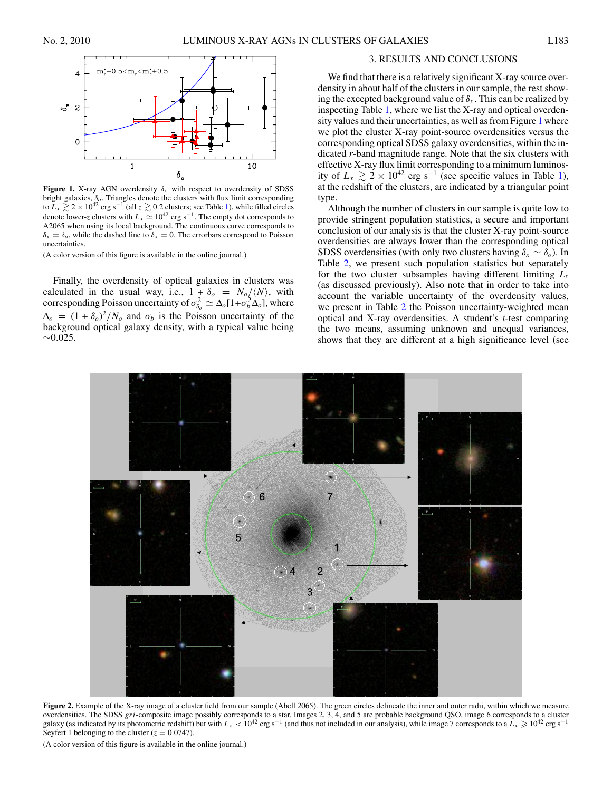<span id="page-2-0"></span>

**Figure 1.** X-ray AGN overdensity  $\delta_x$  with respect to overdensity of SDSS bright galaxies, *δo*. Triangles denote the clusters with flux limit corresponding to  $\bar{L}_x \gtrsim 2 \times 10^{42}$  erg s<sup>-1</sup> (all  $z \gtrsim 0.2$  clusters; see Table [1\)](#page-1-0), while filled circles denote lower-*z* clusters with  $L_x \simeq 10^{42}$  erg s<sup>-1</sup>. The empty dot corresponds to A2065 when using its local background. The continuous curve corresponds to  $\delta_x = \delta_o$ , while the dashed line to  $\delta_x = 0$ . The errorbars correspond to Poisson uncertainties.

(A color version of this figure is available in the online journal.)

Finally, the overdensity of optical galaxies in clusters was calculated in the usual way, i.e.,  $1 + \delta_o = N_o / \langle N \rangle$ , with corresponding Poisson uncertainty of  $\sigma_{\delta_o}^2 \simeq \Delta_o [1 + \sigma_b^2 \Delta_o]$ , where  $\Delta_o = (1 + \delta_o)^2/N_o$  and  $\sigma_b$  is the Poisson uncertainty of the background optical galaxy density, with a typical value being ∼0*.*025.

# 3. RESULTS AND CONCLUSIONS

We find that there is a relatively significant X-ray source overdensity in about half of the clusters in our sample, the rest showing the excepted background value of  $\delta_x$ . This can be realized by inspecting Table [1,](#page-1-0) where we list the X-ray and optical overdensity values and their uncertainties, as well as from Figure 1 where we plot the cluster X-ray point-source overdensities versus the corresponding optical SDSS galaxy overdensities, within the indicated *r*-band magnitude range. Note that the six clusters with effective X-ray flux limit corresponding to a minimum luminosity of  $L_x \gtrsim 2 \times 10^{42}$  erg s<sup>−1</sup> (see specific values in Table [1\)](#page-1-0), at the redshift of the clusters, are indicated by a triangular point type.

Although the number of clusters in our sample is quite low to provide stringent population statistics, a secure and important conclusion of our analysis is that the cluster X-ray point-source overdensities are always lower than the corresponding optical SDSS overdensities (with only two clusters having  $\delta_x \sim \delta_o$ ). In Table [2,](#page-3-0) we present such population statistics but separately for the two cluster subsamples having different limiting  $L<sub>x</sub>$ (as discussed previously). Also note that in order to take into account the variable uncertainty of the overdensity values, we present in Table [2](#page-3-0) the Poisson uncertainty-weighted mean optical and X-ray overdensities. A student's *t*-test comparing the two means, assuming unknown and unequal variances, shows that they are different at a high significance level (see



**Figure 2.** Example of the X-ray image of a cluster field from our sample (Abell 2065). The green circles delineate the inner and outer radii, within which we measure overdensities. The SDSS *gri*-composite image possibly corresponds to a star. Images 2, 3, 4, and 5 are probable background QSO, image 6 corresponds to a cluster galaxy (as indicated by its photometric redshift) but with  $L_x < 10^{42}$  erg s<sup>-1</sup> (and thus not included in our analysis), while image 7 corresponds to a  $L_x \ge 10^{42}$  erg s<sup>-1</sup> Seyfert 1 belonging to the cluster  $(z = 0.0747)$ .

(A color version of this figure is available in the online journal.)